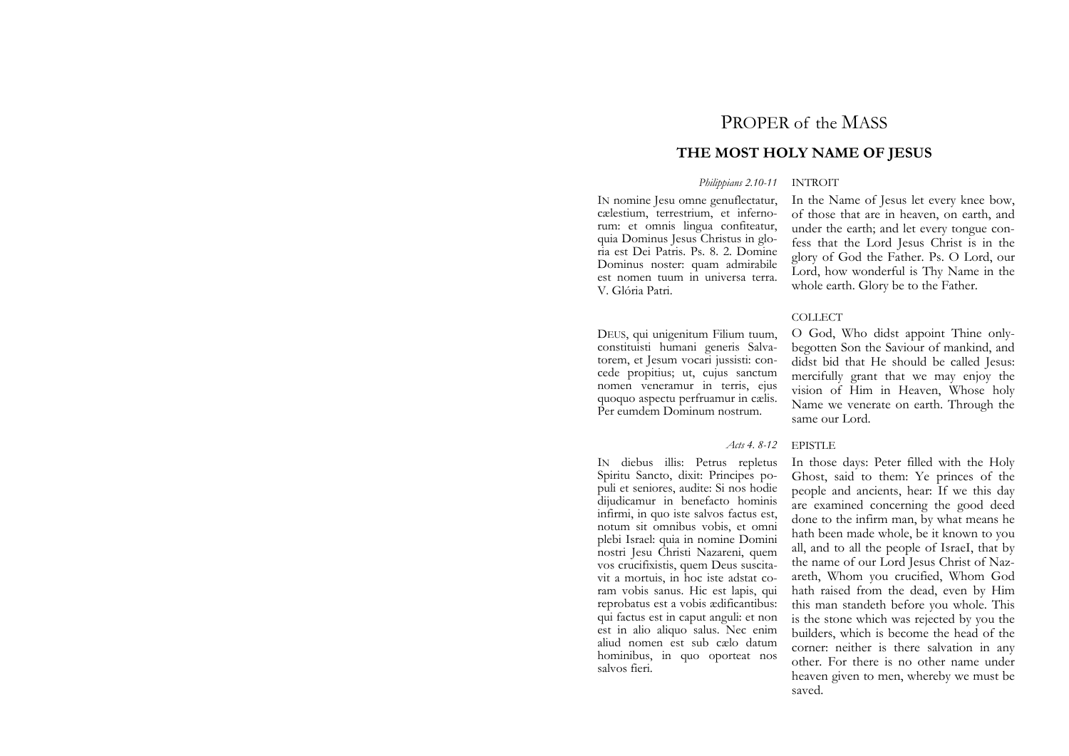# PROPER of the MASS

# **THE MOST HOLY NAME OF JESUS**

## *Philippians 2.10-11* INTROIT

IN nomine Jesu omne genuflectatur, cælestium, terrestrium, et infernorum: et omnis lingua confiteatur, quia Dominus Jesus Christus in gloria est Dei Patris. Ps. 8. 2. Domine Dominus noster: quam admirabile est nomen tuum in universa terra. V. Glória Patri.

DEUS, qui unigenitum Filium tuum, constituisti humani generis Salvatorem, et Jesum vocari jussisti: concede propitius; ut, cujus sanctum nomen veneramur in terris, ejus quoquo aspectu perfruamur in cælis. Per eumdem Dominum nostrum.

salvos fieri.

#### *Acts* 4.8-12

IN diebus illis: Petrus repletus Spiritu Sancto, dixit: Principes populi et seniores, audite: Si nos hodie dijudicamur in benefacto hominis infirmi, in quo iste salvos factus est, notum sit omnibus vobis, et omni plebi Israel: quia in nomine Domini nostri Jesu Christi Nazareni, quem vos crucifixistis, quem Deus suscitavit a mortuis, in hoc iste adstat coram vobis sanus. Hic est lapis, qui reprobatus est a vobis ædificantibus: qui factus est in caput anguli: et non est in alio aliquo salus. Nec enim aliud nomen est sub cælo datum hominibus, in quo oporteat nos

# In the Name of Jesus let every knee bow, of those that are in heaven, on earth, and under the earth; and let every tongue confess that the Lord Jesus Christ is in the glory of God the Father. Ps. O Lord, our Lord, how wonderful is Thy Name in the whole earth. Glory be to the Father.

# COLLECT

O God, Who didst appoint Thine onlybegotten Son the Saviour of mankind, and didst bid that He should be called Jesus: mercifully grant that we may enjoy the vision of Him in Heaven, Whose holy Name we venerate on earth. Through the same our Lord.

#### **EPISTLE**

In those days: Peter filled with the Holy Ghost, said to them: Ye princes of the people and ancients, hear: If we this day are examined concerning the good deed done to the infirm man, by what means he hath been made whole, be it known to you all, and to all the people of IsraeI, that by the name of our Lord Jesus Christ of Nazareth, Whom you crucified, Whom God hath raised from the dead, even by Him this man standeth before you whole. This is the stone which was rejected by you the builders, which is become the head of the corner: neither is there salvation in any other. For there is no other name under heaven given to men, whereby we must be saved.